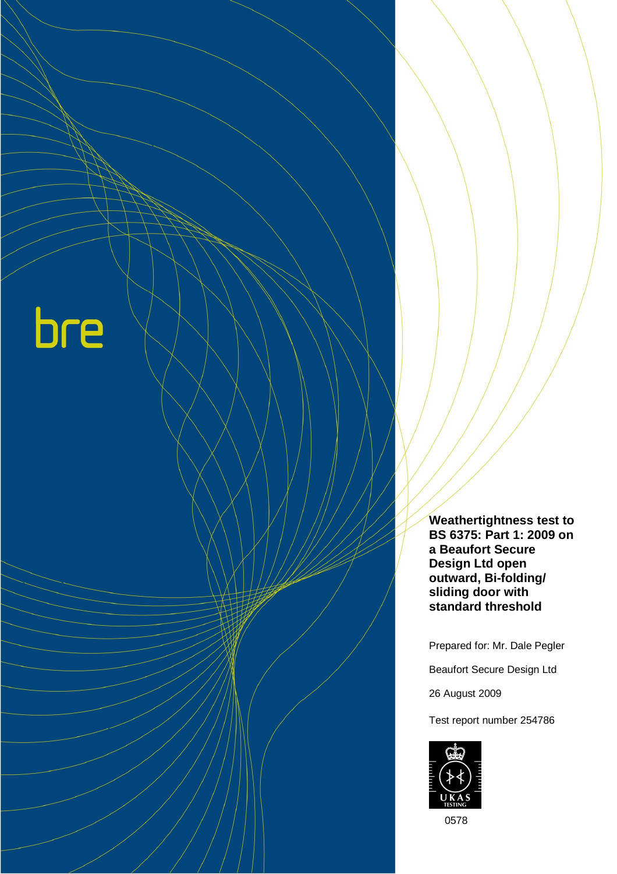bre

**Weathertightness test to BS 6375: Part 1: 2009 on a Beaufort Secure Design Ltd open outward, Bi-folding/ sliding door with standard threshold** 

Prepared for: Mr. Dale Pegler

Beaufort Secure Design Ltd

26 August 2009

Test report number 254786



0578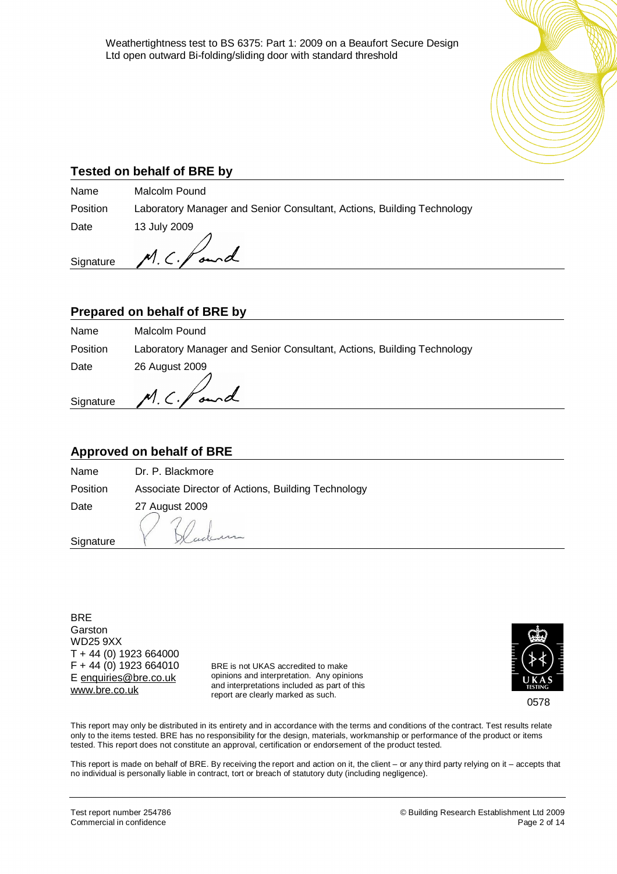

## **Tested on behalf of BRE by**

Name Malcolm Pound Position Laboratory Manager and Senior Consultant, Actions, Building Technology Date 13 July 2009

**Signature** 

## **Prepared on behalf of BRE by**

 $M.C.\ell$ 

| Name     | Malcolm Pound                                                          |
|----------|------------------------------------------------------------------------|
| Position | Laboratory Manager and Senior Consultant, Actions, Building Technology |
| Date     | 26 August 2009                                                         |
|          | Signature M. C. faund                                                  |

## **Approved on behalf of BRE**

Name Dr. P. Blackmore

Date 27 August 2009

Position Associate Director of Actions, Building Technology

and

**Signature** 

**BRE** Garston WD25 9XX T + 44 (0) 1923 664000 F + 44 (0) 1923 664010 E [enquiries@bre.co.uk](mailto:enquiries@bre.co.uk) [www.bre.co.uk](http://www.bre.co.uk)

BRE is not UKAS accredited to make opinions and interpretation. Any opinions and interpretations included as part of this report are clearly marked as such.



0578

This report may only be distributed in its entirety and in accordance with the terms and conditions of the contract. Test results relate only to the items tested. BRE has no responsibility for the design, materials, workmanship or performance of the product or items tested. This report does not constitute an approval, certification or endorsement of the product tested.

This report is made on behalf of BRE. By receiving the report and action on it, the client – or any third party relying on it – accepts that no individual is personally liable in contract, tort or breach of statutory duty (including negligence).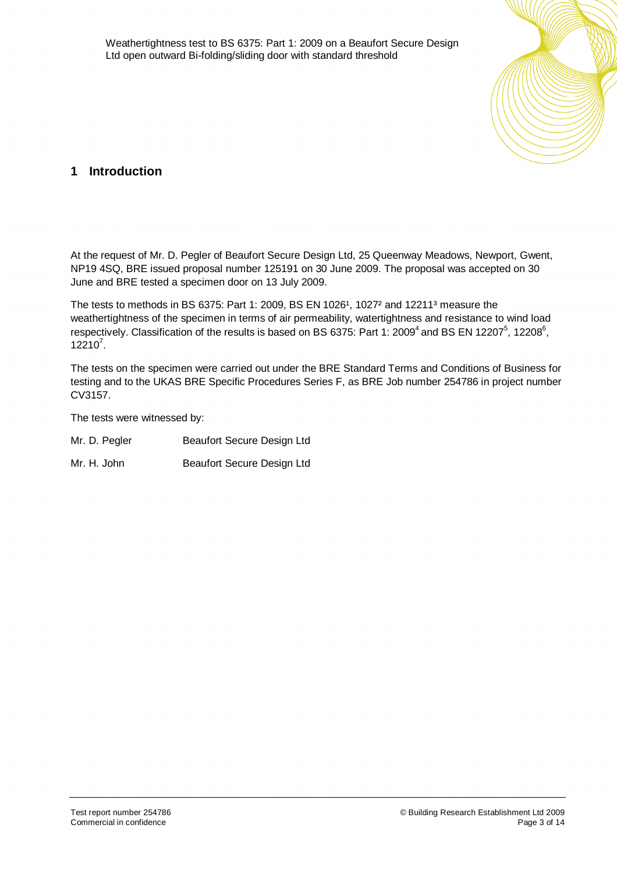

# **1 Introduction**

At the request of Mr. D. Pegler of Beaufort Secure Design Ltd, 25 Queenway Meadows, Newport, Gwent, NP19 4SQ, BRE issued proposal number 125191 on 30 June 2009. The proposal was accepted on 30 June and BRE tested a specimen door on 13 July 2009.

The tests to methods in BS 6375: Part 1: 2009, BS EN 1026<sup>1</sup>, 1027<sup>2</sup> and 12211<sup>3</sup> measure the weathertightness of the specimen in terms of air permeability, watertightness and resistance to wind load respectively. Classification of the results is based on BS 6375: Part 1: 2009<sup>4</sup> and BS EN 12207<sup>5</sup>, 12208<sup>6</sup>,  $12210^7$ .

The tests on the specimen were carried out under the BRE Standard Terms and Conditions of Business for testing and to the UKAS BRE Specific Procedures Series F, as BRE Job number 254786 in project number CV3157.

The tests were witnessed by:

| Mr. D. Pegler | Beaufort Secure Design Ltd |
|---------------|----------------------------|
|               |                            |

Mr. H. John Beaufort Secure Design Ltd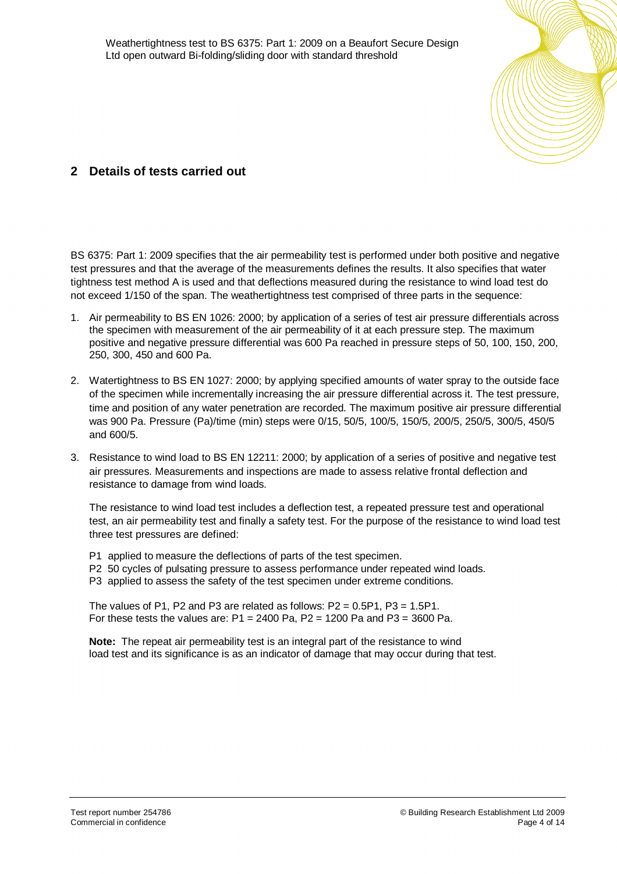

# **2 Details of tests carried out**

BS 6375: Part 1: 2009 specifies that the air permeability test is performed under both positive and negative test pressures and that the average of the measurements defines the results. It also specifies that water tightness test method A is used and that deflections measured during the resistance to wind load test do not exceed 1/150 of the span. The weathertightness test comprised of three parts in the sequence:

- 1. Air permeability to BS EN 1026: 2000; by application of a series of test air pressure differentials across the specimen with measurement of the air permeability of it at each pressure step. The maximum positive and negative pressure differential was 600 Pa reached in pressure steps of 50, 100, 150, 200, 250, 300, 450 and 600 Pa.
- 2. Watertightness to BS EN 1027: 2000; by applying specified amounts of water spray to the outside face of the specimen while incrementally increasing the air pressure differential across it. The test pressure, time and position of any water penetration are recorded. The maximum positive air pressure differential was 900 Pa. Pressure (Pa)/time (min) steps were 0/15, 50/5, 100/5, 150/5, 200/5, 250/5, 300/5, 450/5 and 600/5.
- 3. Resistance to wind load to BS EN 12211: 2000; by application of a series of positive and negative test air pressures. Measurements and inspections are made to assess relative frontal deflection and resistance to damage from wind loads.

The resistance to wind load test includes a deflection test, a repeated pressure test and operational test, an air permeability test and finally a safety test. For the purpose of the resistance to wind load test three test pressures are defined:

P1 applied to measure the deflections of parts of the test specimen.

- P2 50 cycles of pulsating pressure to assess performance under repeated wind loads.
- P3 applied to assess the safety of the test specimen under extreme conditions.

The values of P1, P2 and P3 are related as follows:  $P2 = 0.5P1$ ,  $P3 = 1.5P1$ . For these tests the values are:  $P1 = 2400$  Pa,  $P2 = 1200$  Pa and P3 = 3600 Pa.

**Note:** The repeat air permeability test is an integral part of the resistance to wind load test and its significance is as an indicator of damage that may occur during that test.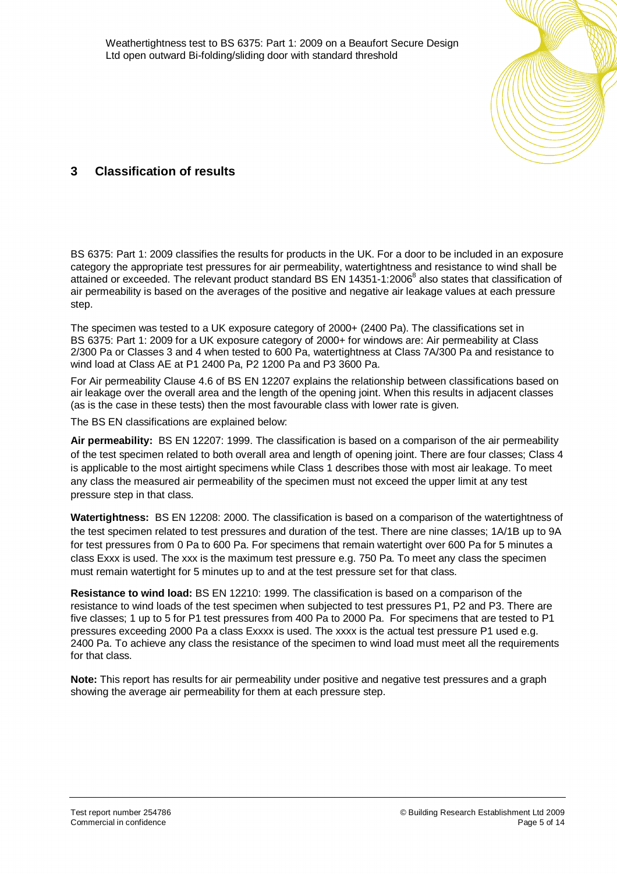

# **3 Classification of results**

BS 6375: Part 1: 2009 classifies the results for products in the UK. For a door to be included in an exposure category the appropriate test pressures for air permeability, watertightness and resistance to wind shall be attained or exceeded. The relevant product standard BS EN 14351-1:2006<sup>8</sup> also states that classification of air permeability is based on the averages of the positive and negative air leakage values at each pressure step.

The specimen was tested to a UK exposure category of 2000+ (2400 Pa). The classifications set in BS 6375: Part 1: 2009 for a UK exposure category of 2000+ for windows are: Air permeability at Class 2/300 Pa or Classes 3 and 4 when tested to 600 Pa, watertightness at Class 7A/300 Pa and resistance to wind load at Class AE at P1 2400 Pa, P2 1200 Pa and P3 3600 Pa.

For Air permeability Clause 4.6 of BS EN 12207 explains the relationship between classifications based on air leakage over the overall area and the length of the opening joint. When this results in adjacent classes (as is the case in these tests) then the most favourable class with lower rate is given.

The BS EN classifications are explained below:

**Air permeability:** BS EN 12207: 1999. The classification is based on a comparison of the air permeability of the test specimen related to both overall area and length of opening joint. There are four classes; Class 4 is applicable to the most airtight specimens while Class 1 describes those with most air leakage. To meet any class the measured air permeability of the specimen must not exceed the upper limit at any test pressure step in that class.

**Watertightness:** BS EN 12208: 2000. The classification is based on a comparison of the watertightness of the test specimen related to test pressures and duration of the test. There are nine classes; 1A/1B up to 9A for test pressures from 0 Pa to 600 Pa. For specimens that remain watertight over 600 Pa for 5 minutes a class Exxx is used. The xxx is the maximum test pressure e.g. 750 Pa. To meet any class the specimen must remain watertight for 5 minutes up to and at the test pressure set for that class.

**Resistance to wind load:** BS EN 12210: 1999. The classification is based on a comparison of the resistance to wind loads of the test specimen when subjected to test pressures P1, P2 and P3. There are five classes; 1 up to 5 for P1 test pressures from 400 Pa to 2000 Pa. For specimens that are tested to P1 pressures exceeding 2000 Pa a class Exxxx is used. The xxxx is the actual test pressure P1 used e.g. 2400 Pa. To achieve any class the resistance of the specimen to wind load must meet all the requirements for that class.

**Note:** This report has results for air permeability under positive and negative test pressures and a graph showing the average air permeability for them at each pressure step.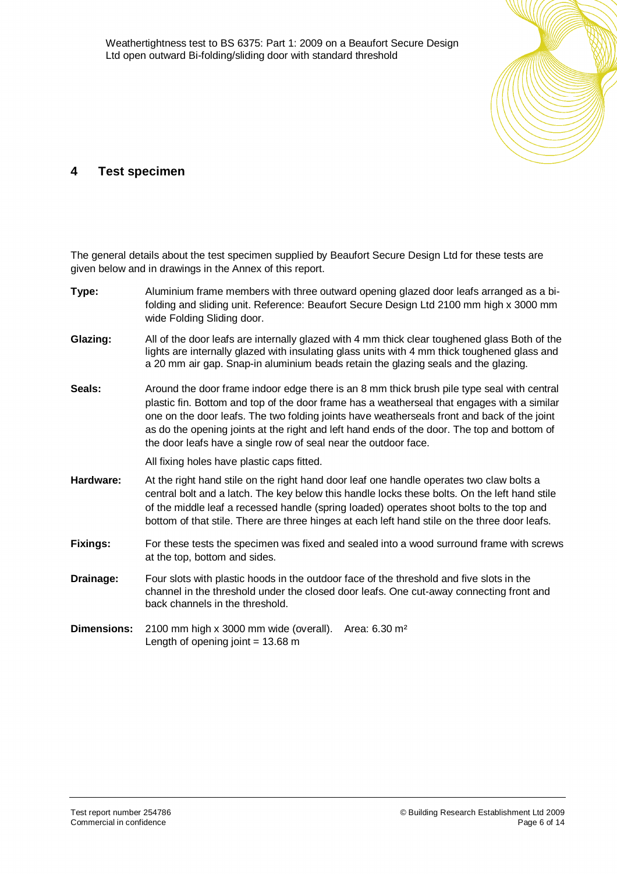Weathertightness test to BS 6375: Part 1: 2009 on a Beaufort Secure Design Ltd open outward Bi-folding/sliding door with standard threshold



## **4 Test specimen**

The general details about the test specimen supplied by Beaufort Secure Design Ltd for these tests are given below and in drawings in the Annex of this report.

| Type:              | Aluminium frame members with three outward opening glazed door leafs arranged as a bi-<br>folding and sliding unit. Reference: Beaufort Secure Design Ltd 2100 mm high x 3000 mm<br>wide Folding Sliding door.                                                                                                                                                                                                                                             |  |  |  |
|--------------------|------------------------------------------------------------------------------------------------------------------------------------------------------------------------------------------------------------------------------------------------------------------------------------------------------------------------------------------------------------------------------------------------------------------------------------------------------------|--|--|--|
| Glazing:           | All of the door leafs are internally glazed with 4 mm thick clear toughened glass Both of the<br>lights are internally glazed with insulating glass units with 4 mm thick toughened glass and<br>a 20 mm air gap. Snap-in aluminium beads retain the glazing seals and the glazing.                                                                                                                                                                        |  |  |  |
| Seals:             | Around the door frame indoor edge there is an 8 mm thick brush pile type seal with central<br>plastic fin. Bottom and top of the door frame has a weatherseal that engages with a similar<br>one on the door leafs. The two folding joints have weatherseals front and back of the joint<br>as do the opening joints at the right and left hand ends of the door. The top and bottom of<br>the door leafs have a single row of seal near the outdoor face. |  |  |  |
|                    | All fixing holes have plastic caps fitted.                                                                                                                                                                                                                                                                                                                                                                                                                 |  |  |  |
| Hardware:          | At the right hand stile on the right hand door leaf one handle operates two claw bolts a<br>central bolt and a latch. The key below this handle locks these bolts. On the left hand stile<br>of the middle leaf a recessed handle (spring loaded) operates shoot bolts to the top and<br>bottom of that stile. There are three hinges at each left hand stile on the three door leafs.                                                                     |  |  |  |
| Fixings:           | For these tests the specimen was fixed and sealed into a wood surround frame with screws<br>at the top, bottom and sides.                                                                                                                                                                                                                                                                                                                                  |  |  |  |
| Drainage:          | Four slots with plastic hoods in the outdoor face of the threshold and five slots in the<br>channel in the threshold under the closed door leafs. One cut-away connecting front and<br>back channels in the threshold.                                                                                                                                                                                                                                     |  |  |  |
| <b>Dimensions:</b> | 2100 mm high x 3000 mm wide (overall).<br>Area: $6.30 \text{ m}^2$<br>Length of opening joint = $13.68$ m                                                                                                                                                                                                                                                                                                                                                  |  |  |  |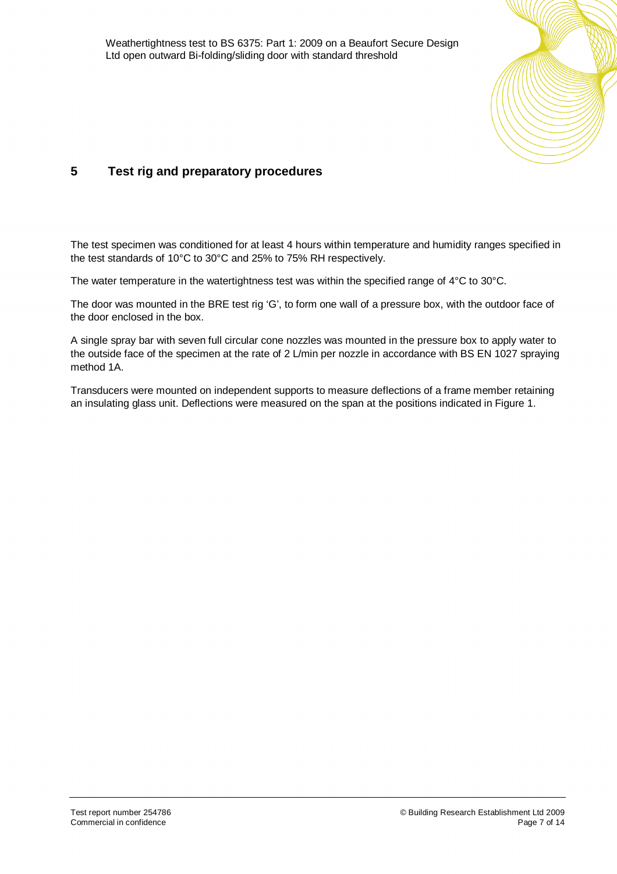

# **5 Test rig and preparatory procedures**

The test specimen was conditioned for at least 4 hours within temperature and humidity ranges specified in the test standards of 10°C to 30°C and 25% to 75% RH respectively.

The water temperature in the watertightness test was within the specified range of 4°C to 30°C.

The door was mounted in the BRE test rig 'G', to form one wall of a pressure box, with the outdoor face of the door enclosed in the box.

A single spray bar with seven full circular cone nozzles was mounted in the pressure box to apply water to the outside face of the specimen at the rate of 2 L/min per nozzle in accordance with BS EN 1027 spraying method 1A.

Transducers were mounted on independent supports to measure deflections of a frame member retaining an insulating glass unit. Deflections were measured on the span at the positions indicated in Figure 1.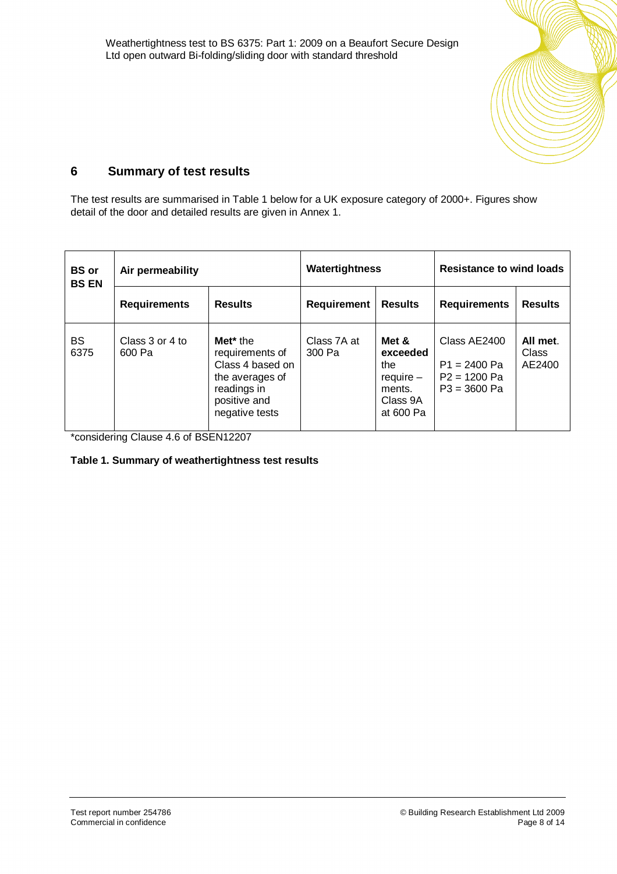

# **6 Summary of test results**

The test results are summarised in Table 1 below for a UK exposure category of 2000+. Figures show detail of the door and detailed results are given in Annex 1.

| <b>BS</b> or<br><b>BS EN</b> | Air permeability          |                                                                                                                                 | Watertightness        |                                                                            | <b>Resistance to wind loads</b>                                    |                                    |
|------------------------------|---------------------------|---------------------------------------------------------------------------------------------------------------------------------|-----------------------|----------------------------------------------------------------------------|--------------------------------------------------------------------|------------------------------------|
|                              | <b>Requirements</b>       | <b>Results</b>                                                                                                                  | <b>Requirement</b>    | <b>Results</b>                                                             | <b>Requirements</b>                                                | <b>Results</b>                     |
| <b>BS</b><br>6375            | Class 3 or 4 to<br>600 Pa | Met <sup>*</sup> the<br>requirements of<br>Class 4 based on<br>the averages of<br>readings in<br>positive and<br>negative tests | Class 7A at<br>300 Pa | Met &<br>exceeded<br>the<br>$require -$<br>ments.<br>Class 9A<br>at 600 Pa | Class AE2400<br>$P1 = 2400 Pa$<br>$P2 = 1200 Pa$<br>$P3 = 3600 Pa$ | All met.<br><b>Class</b><br>AE2400 |

\*considering Clause 4.6 of BSEN12207

### **Table 1. Summary of weathertightness test results**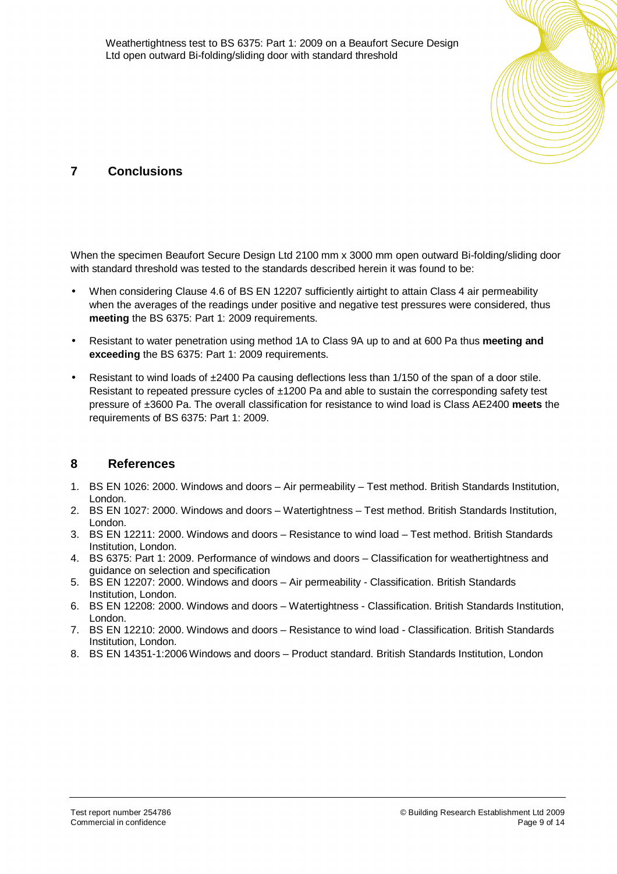

# **7 Conclusions**

When the specimen Beaufort Secure Design Ltd 2100 mm x 3000 mm open outward Bi-folding/sliding door with standard threshold was tested to the standards described herein it was found to be:

- When considering Clause 4.6 of BS EN 12207 sufficiently airtight to attain Class 4 air permeability when the averages of the readings under positive and negative test pressures were considered, thus **meeting** the BS 6375: Part 1: 2009 requirements.
- Resistant to water penetration using method 1A to Class 9A up to and at 600 Pa thus **meeting and exceeding** the BS 6375: Part 1: 2009 requirements.
- Resistant to wind loads of ±2400 Pa causing deflections less than 1/150 of the span of a door stile. Resistant to repeated pressure cycles of ±1200 Pa and able to sustain the corresponding safety test pressure of ±3600 Pa. The overall classification for resistance to wind load is Class AE2400 **meets** the requirements of BS 6375: Part 1: 2009.

## **8 References**

- 1. BS EN 1026: 2000. Windows and doors Air permeability Test method. British Standards Institution, London.
- 2. BS EN 1027: 2000. Windows and doors Watertightness Test method. British Standards Institution, London.
- 3. BS EN 12211: 2000. Windows and doors Resistance to wind load Test method. British Standards Institution, London.
- 4. BS 6375: Part 1: 2009. Performance of windows and doors Classification for weathertightness and guidance on selection and specification
- 5. BS EN 12207: 2000. Windows and doors Air permeability Classification. British Standards Institution, London.
- 6. BS EN 12208: 2000. Windows and doors Watertightness Classification. British Standards Institution, London.
- 7. BS EN 12210: 2000. Windows and doors Resistance to wind load Classification. British Standards Institution, London.
- 8. BS EN 14351-1:2006 Windows and doors Product standard. British Standards Institution, London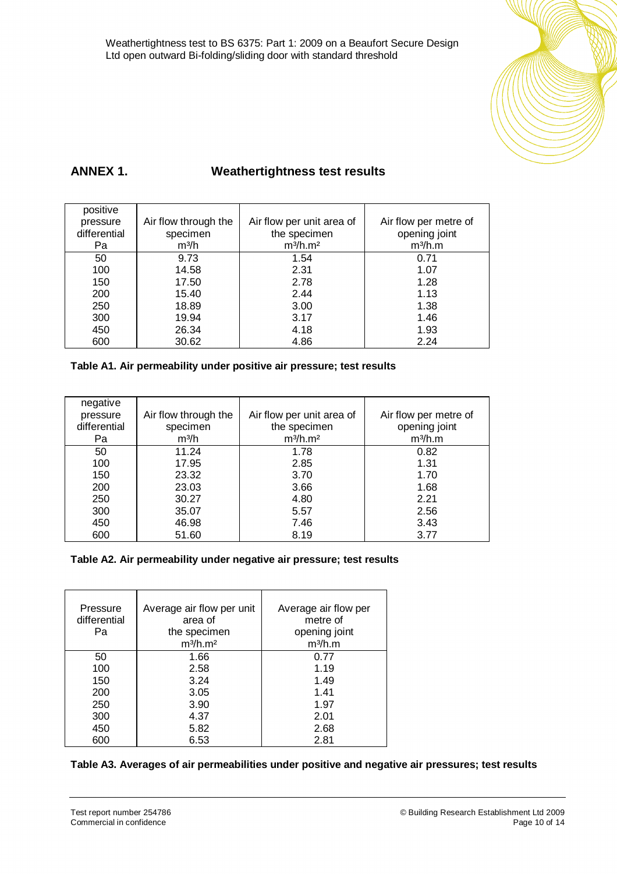

# **ANNEX 1. Weathertightness test results**

| positive     |                      |                                  |                       |
|--------------|----------------------|----------------------------------|-----------------------|
| pressure     | Air flow through the | Air flow per unit area of        | Air flow per metre of |
| differential | specimen             | the specimen                     | opening joint         |
| Pa           | m <sup>3</sup> /h    | m <sup>3</sup> /h.m <sup>2</sup> | m <sup>3</sup> /h.m   |
| 50           | 9.73                 | 1.54                             | 0.71                  |
| 100          | 14.58                | 2.31                             | 1.07                  |
| 150          | 17.50                | 2.78                             | 1.28                  |
| 200          | 15.40                | 2.44                             | 1.13                  |
| 250          | 18.89                | 3.00                             | 1.38                  |
| 300          | 19.94                | 3.17                             | 1.46                  |
| 450          | 26.34                | 4.18                             | 1.93                  |
| 600          | 30.62                | 4.86                             | 2.24                  |

## **Table A1. Air permeability under positive air pressure; test results**

| negative     |                      |                                  |                       |
|--------------|----------------------|----------------------------------|-----------------------|
| pressure     | Air flow through the | Air flow per unit area of        | Air flow per metre of |
| differential | specimen             | the specimen                     | opening joint         |
| Pa           | m <sup>3</sup> /h    | m <sup>3</sup> /h.m <sup>2</sup> | m <sup>3</sup> /h.m   |
| 50           | 11.24                | 1.78                             | 0.82                  |
| 100          | 17.95                | 2.85                             | 1.31                  |
| 150          | 23.32                | 3.70                             | 1.70                  |
| 200          | 23.03                | 3.66                             | 1.68                  |
| 250          | 30.27                | 4.80                             | 2.21                  |
| 300          | 35.07                | 5.57                             | 2.56                  |
| 450          | 46.98                | 7.46                             | 3.43                  |
| 600          | 51.60                | 8.19                             | 3.77                  |

## **Table A2. Air permeability under negative air pressure; test results**

| Pressure<br>differential<br>Pa | Average air flow per unit<br>area of<br>the specimen<br>m <sup>3</sup> /h.m <sup>2</sup> | Average air flow per<br>metre of<br>opening joint<br>m <sup>3</sup> /h.m |
|--------------------------------|------------------------------------------------------------------------------------------|--------------------------------------------------------------------------|
| 50                             | 1.66                                                                                     | 0.77                                                                     |
| 100                            | 2.58                                                                                     | 1.19                                                                     |
| 150                            | 3.24                                                                                     | 1.49                                                                     |
| 200                            | 3.05                                                                                     | 1.41                                                                     |
| 250                            | 3.90                                                                                     | 1.97                                                                     |
| 300                            | 4.37                                                                                     | 2.01                                                                     |
| 450                            | 5.82                                                                                     | 2.68                                                                     |
| 600                            | 6.53                                                                                     | 2.81                                                                     |

### **Table A3. Averages of air permeabilities under positive and negative air pressures; test results**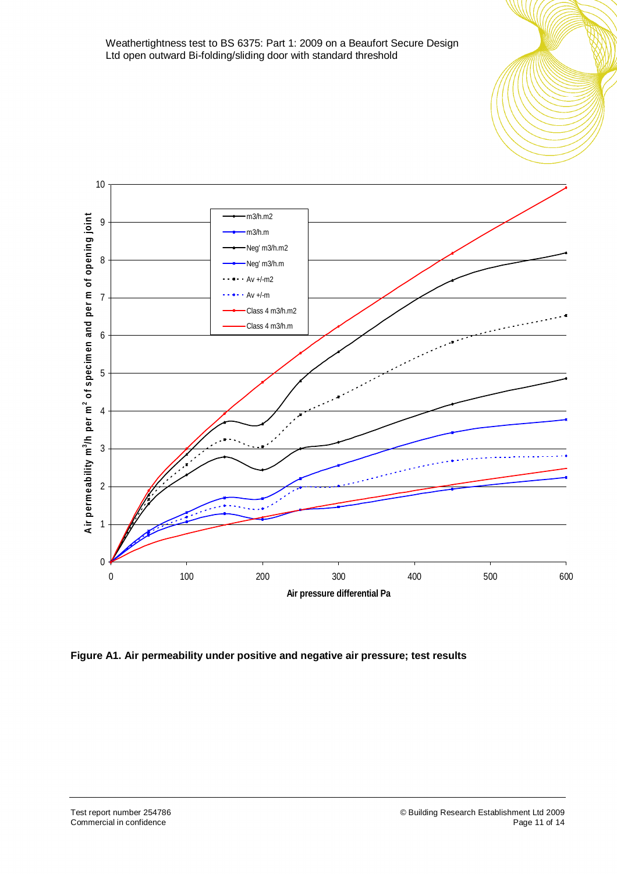

**Figure A1. Air permeability under positive and negative air pressure; test results**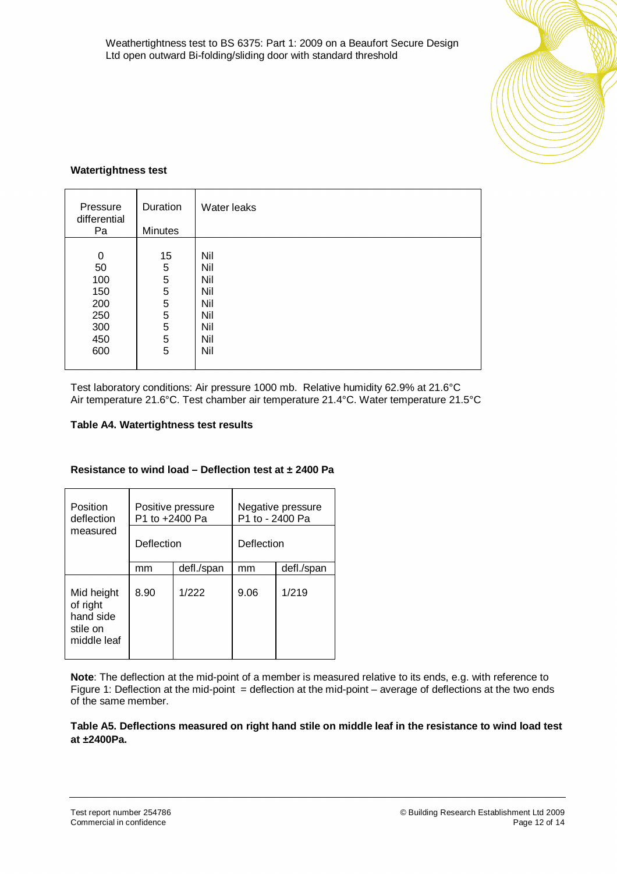

### **Watertightness test**

| Pressure<br>differential<br>Pa  | Duration<br><b>Minutes</b>                          | Water leaks                     |
|---------------------------------|-----------------------------------------------------|---------------------------------|
| 0<br>50<br>100                  | 15<br>5<br>5                                        | Nil<br>Nil<br>Nil               |
| 150<br>200<br>250<br>300<br>450 | $\mathbf 5$<br>$\mathbf 5$<br>5<br>5<br>$\mathbf 5$ | Nil<br>Nil<br>Nil<br>Nil<br>Nil |
| 600                             | 5                                                   | Nil                             |

Test laboratory conditions: Air pressure 1000 mb. Relative humidity 62.9% at 21.6°C Air temperature 21.6°C. Test chamber air temperature 21.4°C. Water temperature 21.5°C

## **Table A4. Watertightness test results**

| Position<br>deflection                                         | Positive pressure<br>P1 to +2400 Pa |            | Negative pressure<br>P1 to - 2400 Pa |            |
|----------------------------------------------------------------|-------------------------------------|------------|--------------------------------------|------------|
| measured                                                       | Deflection                          |            | Deflection                           |            |
|                                                                | mm                                  | defl./span | mm                                   | defl./span |
| Mid height<br>of right<br>hand side<br>stile on<br>middle leaf | 8.90                                | 1/222      | 9.06                                 | 1/219      |

### **Resistance to wind load – Deflection test at ± 2400 Pa**

**Note**: The deflection at the mid-point of a member is measured relative to its ends, e.g. with reference to Figure 1: Deflection at the mid-point  $=$  deflection at the mid-point – average of deflections at the two ends of the same member.

**Table A5. Deflections measured on right hand stile on middle leaf in the resistance to wind load test at ±2400Pa.**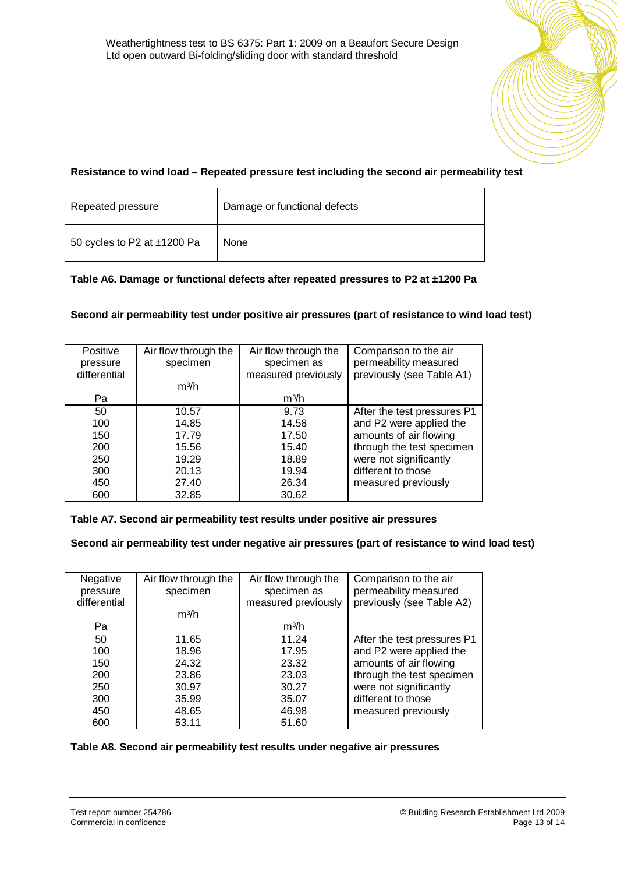### **Resistance to wind load – Repeated pressure test including the second air permeability test**

| Repeated pressure                | Damage or functional defects |
|----------------------------------|------------------------------|
| 50 cycles to P2 at $\pm$ 1200 Pa | None                         |

### **Table A6. Damage or functional defects after repeated pressures to P2 at ±1200 Pa**

### **Second air permeability test under positive air pressures (part of resistance to wind load test)**

| Positive     | Air flow through the | Air flow through the | Comparison to the air       |
|--------------|----------------------|----------------------|-----------------------------|
| pressure     | specimen             | specimen as          | permeability measured       |
| differential |                      | measured previously  | previously (see Table A1)   |
|              | m <sup>3</sup> /h    |                      |                             |
| Pa           |                      | m <sup>3</sup> /h    |                             |
| 50           | 10.57                | 9.73                 | After the test pressures P1 |
| 100          | 14.85                | 14.58                | and P2 were applied the     |
| 150          | 17.79                | 17.50                | amounts of air flowing      |
| 200          | 15.56                | 15.40                | through the test specimen   |
| 250          | 19.29                | 18.89                | were not significantly      |
| 300          | 20.13                | 19.94                | different to those          |
| 450          | 27.40                | 26.34                | measured previously         |
| 600          | 32.85                | 30.62                |                             |

## **Table A7. Second air permeability test results under positive air pressures**

#### **Second air permeability test under negative air pressures (part of resistance to wind load test)**

| Negative     | Air flow through the | Air flow through the | Comparison to the air       |
|--------------|----------------------|----------------------|-----------------------------|
| pressure     | specimen             | specimen as          | permeability measured       |
| differential |                      | measured previously  | previously (see Table A2)   |
|              | m <sup>3</sup> /h    |                      |                             |
| Pa           |                      | m <sup>3</sup> /h    |                             |
| 50           | 11.65                | 11.24                | After the test pressures P1 |
| 100          | 18.96                | 17.95                | and P2 were applied the     |
| 150          | 24.32                | 23.32                | amounts of air flowing      |
| 200          | 23.86                | 23.03                | through the test specimen   |
| 250          | 30.97                | 30.27                | were not significantly      |
| 300          | 35.99                | 35.07                | different to those          |
| 450          | 48.65                | 46.98                | measured previously         |
| 600          | 53.11                | 51.60                |                             |

#### **Table A8. Second air permeability test results under negative air pressures**